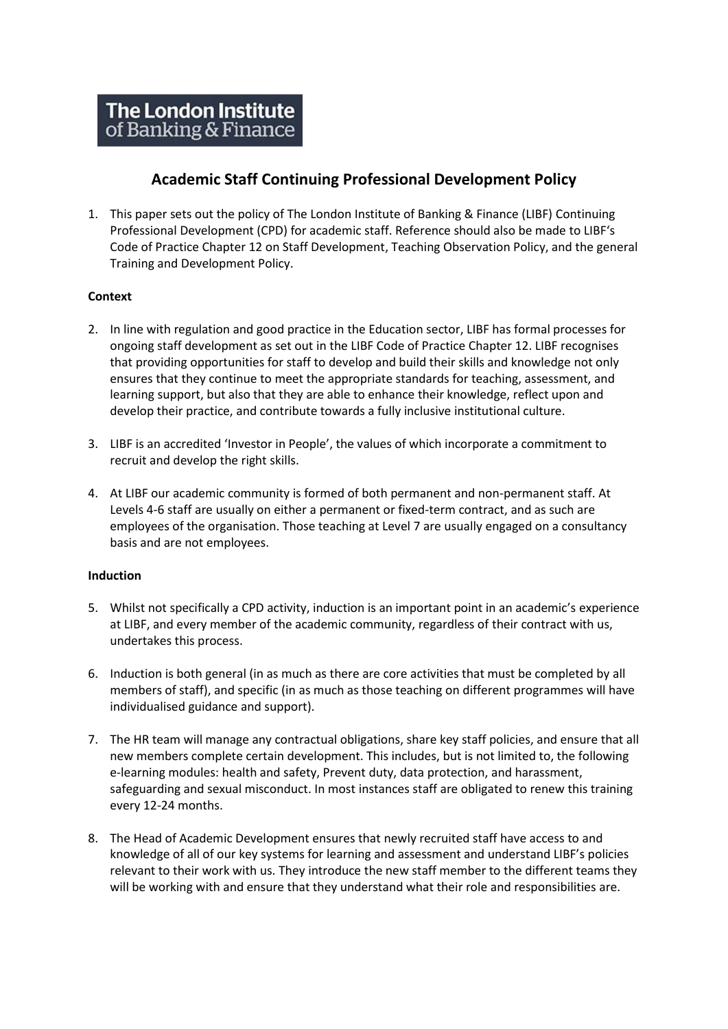# **Academic Staff Continuing Professional Development Policy**

1. This paper sets out the policy of The London Institute of Banking & Finance (LIBF) Continuing Professional Development (CPD) for academic staff. Reference should also be made to LIBF's Code of Practice Chapter 12 on Staff Development, Teaching Observation Policy, and the general Training and Development Policy.

## **Context**

- 2. In line with regulation and good practice in the Education sector, LIBF has formal processes for ongoing staff development as set out in the LIBF Code of Practice Chapter 12. LIBF recognises that providing opportunities for staff to develop and build their skills and knowledge not only ensures that they continue to meet the appropriate standards for teaching, assessment, and learning support, but also that they are able to enhance their knowledge, reflect upon and develop their practice, and contribute towards a fully inclusive institutional culture.
- 3. LIBF is an accredited 'Investor in People', the values of which incorporate a commitment to recruit and develop the right skills.
- 4. At LIBF our academic community is formed of both permanent and non-permanent staff. At Levels 4-6 staff are usually on either a permanent or fixed-term contract, and as such are employees of the organisation. Those teaching at Level 7 are usually engaged on a consultancy basis and are not employees.

#### **Induction**

- 5. Whilst not specifically a CPD activity, induction is an important point in an academic's experience at LIBF, and every member of the academic community, regardless of their contract with us, undertakes this process.
- 6. Induction is both general (in as much as there are core activities that must be completed by all members of staff), and specific (in as much as those teaching on different programmes will have individualised guidance and support).
- 7. The HR team will manage any contractual obligations, share key staff policies, and ensure that all new members complete certain development. This includes, but is not limited to, the following e-learning modules: health and safety, Prevent duty, data protection, and harassment, safeguarding and sexual misconduct. In most instances staff are obligated to renew this training every 12-24 months.
- 8. The Head of Academic Development ensures that newly recruited staff have access to and knowledge of all of our key systems for learning and assessment and understand LIBF's policies relevant to their work with us. They introduce the new staff member to the different teams they will be working with and ensure that they understand what their role and responsibilities are.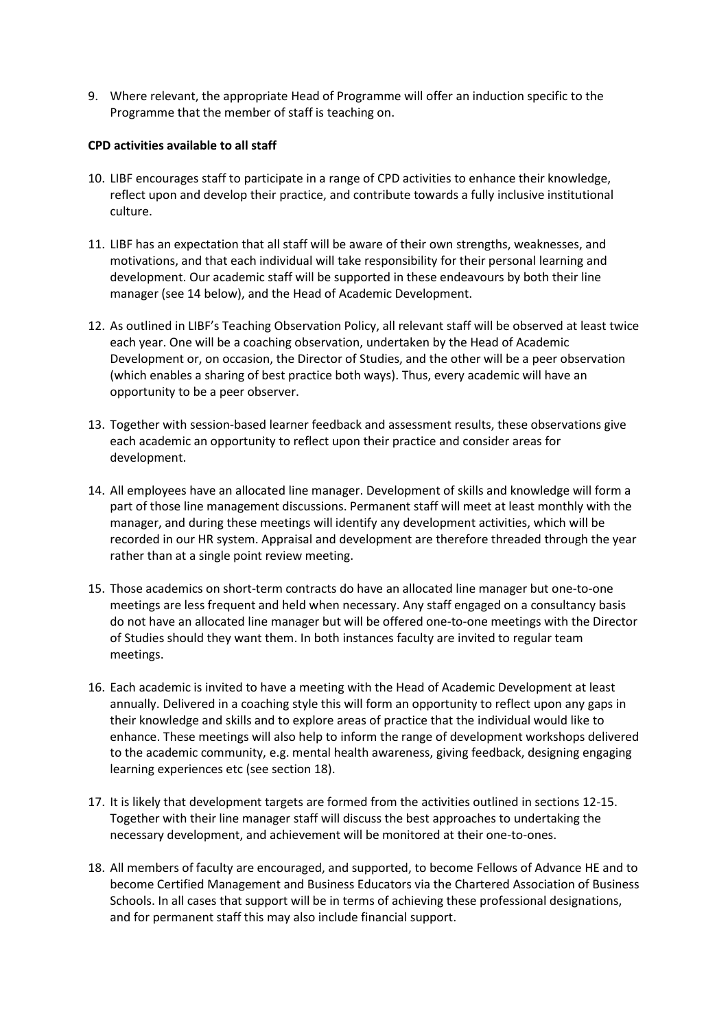9. Where relevant, the appropriate Head of Programme will offer an induction specific to the Programme that the member of staff is teaching on.

#### **CPD activities available to all staff**

- 10. LIBF encourages staff to participate in a range of CPD activities to enhance their knowledge, reflect upon and develop their practice, and contribute towards a fully inclusive institutional culture.
- 11. LIBF has an expectation that all staff will be aware of their own strengths, weaknesses, and motivations, and that each individual will take responsibility for their personal learning and development. Our academic staff will be supported in these endeavours by both their line manager (see 14 below), and the Head of Academic Development.
- 12. As outlined in LIBF's Teaching Observation Policy, all relevant staff will be observed at least twice each year. One will be a coaching observation, undertaken by the Head of Academic Development or, on occasion, the Director of Studies, and the other will be a peer observation (which enables a sharing of best practice both ways). Thus, every academic will have an opportunity to be a peer observer.
- 13. Together with session-based learner feedback and assessment results, these observations give each academic an opportunity to reflect upon their practice and consider areas for development.
- 14. All employees have an allocated line manager. Development of skills and knowledge will form a part of those line management discussions. Permanent staff will meet at least monthly with the manager, and during these meetings will identify any development activities, which will be recorded in our HR system. Appraisal and development are therefore threaded through the year rather than at a single point review meeting.
- 15. Those academics on short-term contracts do have an allocated line manager but one-to-one meetings are less frequent and held when necessary. Any staff engaged on a consultancy basis do not have an allocated line manager but will be offered one-to-one meetings with the Director of Studies should they want them. In both instances faculty are invited to regular team meetings.
- 16. Each academic is invited to have a meeting with the Head of Academic Development at least annually. Delivered in a coaching style this will form an opportunity to reflect upon any gaps in their knowledge and skills and to explore areas of practice that the individual would like to enhance. These meetings will also help to inform the range of development workshops delivered to the academic community, e.g. mental health awareness, giving feedback, designing engaging learning experiences etc (see section 18).
- 17. It is likely that development targets are formed from the activities outlined in sections 12-15. Together with their line manager staff will discuss the best approaches to undertaking the necessary development, and achievement will be monitored at their one-to-ones.
- 18. All members of faculty are encouraged, and supported, to become Fellows of Advance HE and to become Certified Management and Business Educators via the Chartered Association of Business Schools. In all cases that support will be in terms of achieving these professional designations, and for permanent staff this may also include financial support.